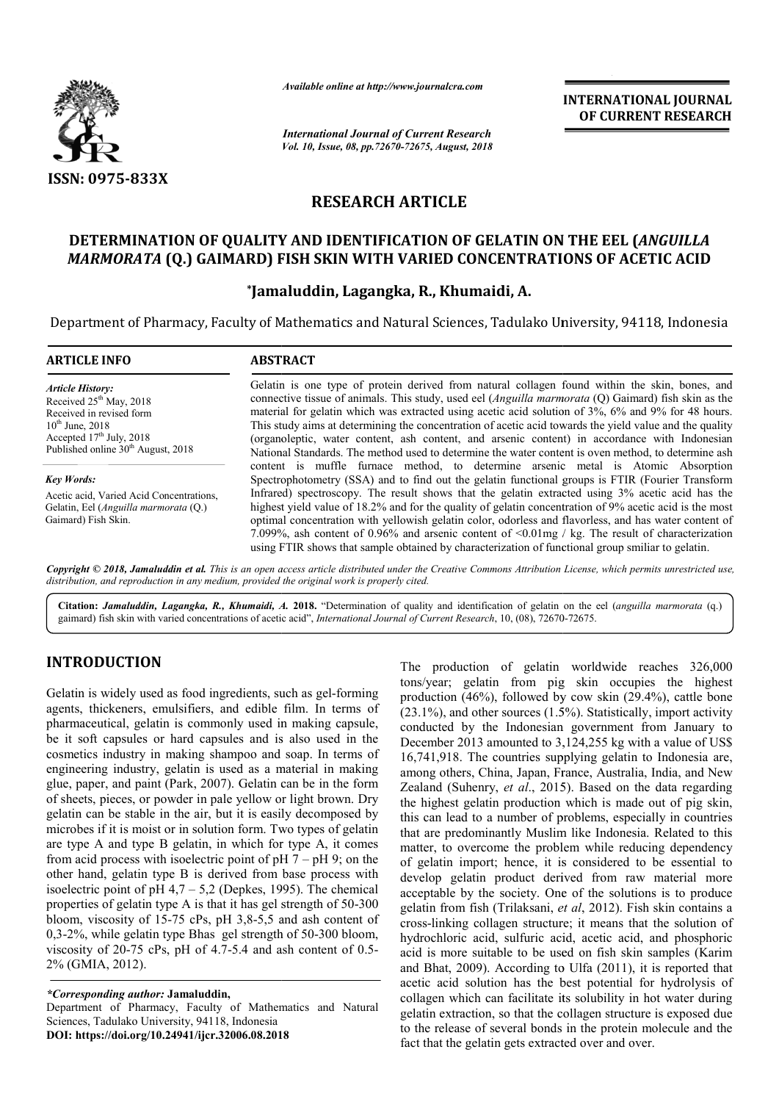

*Available online at http://www.journalcra.com*

*International Journal of Current Research Vol. 10, Issue, 08, pp.72670-72675, August, 2018* **INTERNATIONAL JOURNAL OF CURRENT RESEARCH**

# **RESEARCH ARTICLE**

## **DETERMINATION OF QUALITY AND IDENTIFICATION OF GELATIN ON THE EEL (** *ANGUILLA*  MARMORATA (Q.) GAIMARD) FISH SKIN WITH VARIED CONCENTRATIONS OF ACETIC ACID

## **\*Jamaluddin, Lagangka, R., Jamaluddin, Khumaidi, A.**

Department of Pharmacy, Faculty of Mathematics and Natural Sciences, Tadulako University, 94118, Indonesia

| <b>ARTICLE INFO</b>                                                                                                                                                                      | <b>ABSTRACT</b>                                                                                                                                                                                                                                                                                                                                                                                                                                                                                                                                                                                                                                                                                                               |  |  |
|------------------------------------------------------------------------------------------------------------------------------------------------------------------------------------------|-------------------------------------------------------------------------------------------------------------------------------------------------------------------------------------------------------------------------------------------------------------------------------------------------------------------------------------------------------------------------------------------------------------------------------------------------------------------------------------------------------------------------------------------------------------------------------------------------------------------------------------------------------------------------------------------------------------------------------|--|--|
| <b>Article History:</b><br>Received $25th$ May, 2018<br>Received in revised form<br>$10^{th}$ June, 2018<br>Accepted $17th$ July, 2018<br>Published online 30 <sup>th</sup> August, 2018 | Gelatin is one type of protein derived from natural collagen found within the skin, bones, and<br>connective tissue of animals. This study, used eel (Anguilla marmorata (Q) Gaimard) fish skin as the<br>material for gelatin which was extracted using acetic acid solution of 3%, 6% and 9% for 48 hours.<br>This study aims at determining the concentration of acetic acid towards the yield value and the quality<br>(organoleptic, water content, ash content, and arsenic content) in accordance with Indonesian<br>National Standards. The method used to determine the water content is oven method, to determine ash                                                                                               |  |  |
| <b>Key Words:</b><br>Acetic acid, Varied Acid Concentrations,<br>Gelatin, Eel (Anguilla marmorata (Q.)<br>Gaimard) Fish Skin.                                                            | content is muffle furnace method, to determine arsenic metal is Atomic Absorption<br>Spectrophotometry (SSA) and to find out the gelatin functional groups is FTIR (Fourier Transform<br>Infrared) spectroscopy. The result shows that the gelatin extracted using 3% acetic acid has the<br>highest yield value of 18.2% and for the quality of gelatin concentration of 9% acetic acid is the most<br>optimal concentration with yellowish gelatin color, odorless and flavorless, and has water content of<br>7.099%, ash content of 0.96% and arsenic content of $\leq 0.01$ mg / kg. The result of characterization<br>using FTIR shows that sample obtained by characterization of functional group smiliar to gelatin. |  |  |

Copyright © 2018, Jamaluddin et al. This is an open access article distributed under the Creative Commons Attribution License, which permits unrestricted use, *distribution, and reproduction in any medium, provided the original work is properly cited.*

Citation: *Jamaluddin, Lagangka, R., Khumaidi, A.* 2018. "Determination of quality and identification of gelatin on the eel (anguilla marmorata (q.) gaimard) fish skin with varied concentrations of acetic acid", *International Journal of Current Research*, 10, (08), 72670-72675.

### **INTRODUCTION**

Gelatin is widely used as food ingredients, such as gel-forming agents, thickeners, emulsifiers, and edible film. In terms of pharmaceutical, gelatin is commonly used in making capsule, be it soft capsules or hard capsules and is also used in the cosmetics industry in making shampoo and soap. In terms of engineering industry, gelatin is used as a material in making glue, paper, and paint (Park, 2007). Gelatin can be in the form of sheets, pieces, or powder in pale yellow or light brown. Dry gelatin can be stable in the air, but it is easily decomposed by microbes if it is moist or in solution form. Two types of gelatin are type A and type B gelatin, in which for type A, it comes from acid process with isoelectric point of  $pH 7 - pH 9$ ; on the other hand, gelatin type B is derived from base process with isoelectric point of pH  $4.7 - 5.2$  (Depkes, 1995). The chemical other hand, gelatin type B is derived from base process with isoelectric point of  $pH$  4,7 – 5,2 (Depkes, 1995). The chemical properties of gelatin type A is that it has gel strength of 50-300 bloom, viscosity of 15-75 cPs, pH 3,8-5,5 and ash content of bloom, viscosity of 15-75 cPs, pH 3,8-5,5 and ash content of 0,3-2%, while gelatin type Bhas gel strength of 50-300 bloom, viscosity of  $20-75$  cPs, pH of  $4.7-5.4$  and ash content of  $0.5-$ 2% (GMIA, 2012). latin can be stable in the air, but it is easily decomposed by<br>icrobes if it is moist or in solution form. Two types of gelatin<br>e type A and type B gelatin, in which for type A, it comes<br>om acid process with isoelectric p

*\*Corresponding author:* **Jamaluddin,** 

Department of Pharmacy, Faculty of Mathematics and Natural Sciences, Tadulako University, 94118, Indonesia **DOI: https://doi.org/10.24941/ijcr.32006.08.2018**

The production of gelatin worldwide reaches 326,000<br>
tonsycar, gelatin from pig skin cocupies the highest<br>
tons production (46%), followed by cow skin (29.4%), cattle bone<br>
sued in making capsule,<br>
conducted by the Indones tons/year; gelatin from pig skin occupies the highest production (46%), followed by cow skin (29.4%), cattle bone (23.1%), and other sources (1.5%). Statistically, import activity conducted by the Indonesian government from January to December 2013 amounted to 3,124,255 kg with a value of US\$ 16,741,918. The countries supplying gelatin to Indonesia are, among others, China, Japan, France, Australia, India, and New Zealand (Suhenry, et al., 2015). Based on the data regarding the highest gelatin production which is made out of pig skin, this can lead to a number of problems, especially in countries that are predominantly Muslim like Indonesia. Related to this matter, to overcome the problem while reducing dependency of gelatin import; hence, it is considered to be essential to develop gelatin product derived from raw material more acceptable by the society. One of the solutions is to produce gelatin from fish (Trilaksani, et al, 2012). Fish skin contains a cross-linking collagen structure; it means that the solution of cross-linking collagen structure; it means that the solution of hydrochloric acid, sulfuric acid, acetic acid, and phosphoric acid is more suitable to be used on fish skin samples (Karim and Bhat, 2009). According to Ulfa (2011), it is reported that acetic acid solution has the best potential for hydrolysis of collagen which can facilitate its solubility in hot water during gelatin extraction, so that the collagen structure is exposed due to the release of several bonds in the protein molecule and the fact that the gelatin gets extracted over and over. he production of gelatin worldwide reaches 326,000 ons/year; gelatin from pig skin occupies the highest roduction (46%), followed by cow skin (29.4%), cattle bone 23.1%), and other sources (1.5%). Statistically, import ac the highest gelatin production which is made out of pig skin, this can lead to a number of problems, especially in countries that are predominantly Muslim like Indonesia. Related to this matter, to overcome the problem whi is more suitable to be used on fish skin samples (Karim Bhat, 2009). According to Ulfa (2011), it is reported that c acid solution has the best potential for hydrolysis of gen which can facilitate its solubility in hot wat in, so that the collagen structure is exposed due<br>several bonds in the protein molecule and the<br>tin gets extracted over and over.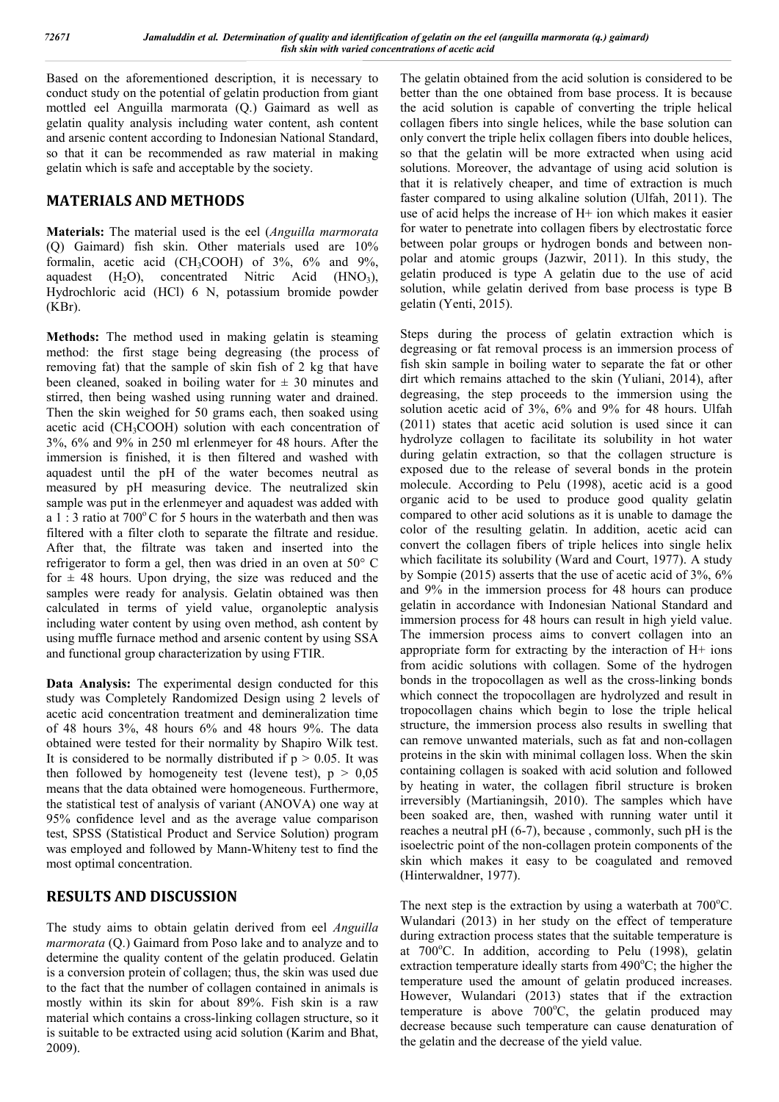Based on the aforementioned description, it is necessary to conduct study on the potential of gelatin production from giant mottled eel Anguilla marmorata (Q.) Gaimard as well as gelatin quality analysis including water content, ash content and arsenic content according to Indonesian National Standard, so that it can be recommended as raw material in making gelatin which is safe and acceptable by the society.

### **MATERIALS AND METHODS**

**Materials:** The material used is the eel (*Anguilla marmorata* (Q) Gaimard) fish skin. Other materials used are 10% formalin, acetic acid (CH<sub>3</sub>COOH) of  $3\%$ ,  $6\%$  and  $9\%$ , aquadest  $(H_2O)$ , concentrated Nitric Acid  $(HNO_3)$ , Hydrochloric acid (HCl) 6 N, potassium bromide powder (KBr).

**Methods:** The method used in making gelatin is steaming method: the first stage being degreasing (the process of removing fat) that the sample of skin fish of 2 kg that have been cleaned, soaked in boiling water for  $\pm$  30 minutes and stirred, then being washed using running water and drained. Then the skin weighed for 50 grams each, then soaked using acetic acid (CH3COOH) solution with each concentration of 3%, 6% and 9% in 250 ml erlenmeyer for 48 hours. After the immersion is finished, it is then filtered and washed with aquadest until the pH of the water becomes neutral as measured by pH measuring device. The neutralized skin sample was put in the erlenmeyer and aquadest was added with a 1 : 3 ratio at  $700^{\circ}$ C for 5 hours in the waterbath and then was filtered with a filter cloth to separate the filtrate and residue. After that, the filtrate was taken and inserted into the refrigerator to form a gel, then was dried in an oven at 50° C for  $\pm$  48 hours. Upon drying, the size was reduced and the samples were ready for analysis. Gelatin obtained was then calculated in terms of yield value, organoleptic analysis including water content by using oven method, ash content by using muffle furnace method and arsenic content by using SSA and functional group characterization by using FTIR.

**Data Analysis:** The experimental design conducted for this study was Completely Randomized Design using 2 levels of acetic acid concentration treatment and demineralization time of 48 hours 3%, 48 hours 6% and 48 hours 9%. The data obtained were tested for their normality by Shapiro Wilk test. It is considered to be normally distributed if  $p > 0.05$ . It was then followed by homogeneity test (levene test),  $p > 0.05$ means that the data obtained were homogeneous. Furthermore, the statistical test of analysis of variant (ANOVA) one way at 95% confidence level and as the average value comparison test, SPSS (Statistical Product and Service Solution) program was employed and followed by Mann-Whiteny test to find the most optimal concentration.

### **RESULTS AND DISCUSSION**

The study aims to obtain gelatin derived from eel *Anguilla marmorata* (Q.) Gaimard from Poso lake and to analyze and to determine the quality content of the gelatin produced. Gelatin is a conversion protein of collagen; thus, the skin was used due to the fact that the number of collagen contained in animals is mostly within its skin for about 89%. Fish skin is a raw material which contains a cross-linking collagen structure, so it is suitable to be extracted using acid solution (Karim and Bhat, 2009).

The gelatin obtained from the acid solution is considered to be better than the one obtained from base process. It is because the acid solution is capable of converting the triple helical collagen fibers into single helices, while the base solution can only convert the triple helix collagen fibers into double helices, so that the gelatin will be more extracted when using acid solutions. Moreover, the advantage of using acid solution is that it is relatively cheaper, and time of extraction is much faster compared to using alkaline solution (Ulfah, 2011). The use of acid helps the increase of H+ ion which makes it easier for water to penetrate into collagen fibers by electrostatic force between polar groups or hydrogen bonds and between nonpolar and atomic groups (Jazwir, 2011). In this study, the gelatin produced is type A gelatin due to the use of acid solution, while gelatin derived from base process is type B gelatin (Yenti, 2015).

Steps during the process of gelatin extraction which is degreasing or fat removal process is an immersion process of fish skin sample in boiling water to separate the fat or other dirt which remains attached to the skin (Yuliani, 2014), after degreasing, the step proceeds to the immersion using the solution acetic acid of 3%, 6% and 9% for 48 hours. Ulfah (2011) states that acetic acid solution is used since it can hydrolyze collagen to facilitate its solubility in hot water during gelatin extraction, so that the collagen structure is exposed due to the release of several bonds in the protein molecule. According to Pelu (1998), acetic acid is a good organic acid to be used to produce good quality gelatin compared to other acid solutions as it is unable to damage the color of the resulting gelatin. In addition, acetic acid can convert the collagen fibers of triple helices into single helix which facilitate its solubility (Ward and Court, 1977). A study by Sompie (2015) asserts that the use of acetic acid of 3%, 6% and 9% in the immersion process for 48 hours can produce gelatin in accordance with Indonesian National Standard and immersion process for 48 hours can result in high yield value. The immersion process aims to convert collagen into an appropriate form for extracting by the interaction of H+ ions from acidic solutions with collagen. Some of the hydrogen bonds in the tropocollagen as well as the cross-linking bonds which connect the tropocollagen are hydrolyzed and result in tropocollagen chains which begin to lose the triple helical structure, the immersion process also results in swelling that can remove unwanted materials, such as fat and non-collagen proteins in the skin with minimal collagen loss. When the skin containing collagen is soaked with acid solution and followed by heating in water, the collagen fibril structure is broken irreversibly (Martianingsih, 2010). The samples which have been soaked are, then, washed with running water until it reaches a neutral pH (6-7), because , commonly, such pH is the isoelectric point of the non-collagen protein components of the skin which makes it easy to be coagulated and removed (Hinterwaldner, 1977).

The next step is the extraction by using a waterbath at  $700^{\circ}$ C. Wulandari (2013) in her study on the effect of temperature during extraction process states that the suitable temperature is at 700°C. In addition, according to Pelu (1998), gelatin extraction temperature ideally starts from 490°C; the higher the temperature used the amount of gelatin produced increases. However, Wulandari (2013) states that if the extraction temperature is above  $700^{\circ}$ C, the gelatin produced may decrease because such temperature can cause denaturation of the gelatin and the decrease of the yield value.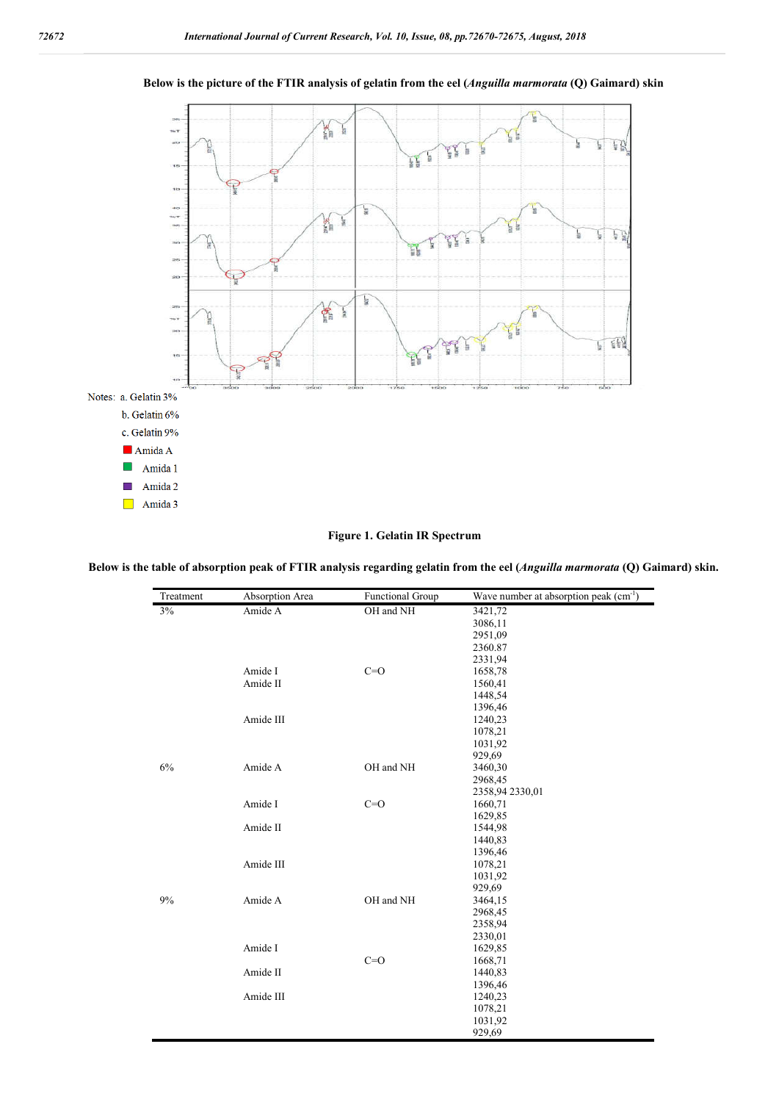

#### **Below is the picture of the FTIR analysis of gelatin from the eel (***Anguilla marmorata* **(Q) Gaimard) skin**

#### **Figure 1. Gelatin IR Spectrum**

**Below is the table of absorption peak of FTIR analysis regarding gelatin from the eel (***Anguilla marmorata* **(Q) Gaimard) skin.**

| Treatment | Absorption Area | <b>Functional Group</b> | Wave number at absorption peak $\overline{(cm^{-1})}$ |
|-----------|-----------------|-------------------------|-------------------------------------------------------|
| 3%        | Amide A         | OH and NH               | 3421,72                                               |
|           |                 |                         | 3086,11                                               |
|           |                 |                         | 2951,09                                               |
|           |                 |                         | 2360.87                                               |
|           |                 |                         | 2331,94                                               |
|           | Amide I         | $C=O$                   | 1658,78                                               |
|           | Amide II        |                         | 1560,41                                               |
|           |                 |                         | 1448,54                                               |
|           |                 |                         | 1396,46                                               |
|           | Amide III       |                         | 1240,23                                               |
|           |                 |                         | 1078,21                                               |
|           |                 |                         | 1031,92                                               |
|           |                 |                         | 929,69                                                |
| 6%        | Amide A         | OH and NH               | 3460,30                                               |
|           |                 |                         | 2968,45                                               |
|           |                 |                         | 2358,94 2330,01                                       |
|           | Amide I         | $C=O$                   | 1660,71                                               |
|           |                 |                         | 1629,85                                               |
|           | Amide II        |                         | 1544,98                                               |
|           |                 |                         | 1440,83                                               |
|           |                 |                         | 1396,46                                               |
|           | Amide III       |                         | 1078,21                                               |
|           |                 |                         | 1031,92                                               |
|           |                 |                         | 929,69                                                |
| 9%        | Amide A         | OH and NH               | 3464,15                                               |
|           |                 |                         | 2968,45                                               |
|           |                 |                         | 2358,94                                               |
|           |                 |                         | 2330,01                                               |
|           | Amide I         |                         | 1629,85                                               |
|           |                 | $C=O$                   | 1668,71                                               |
|           | Amide II        |                         | 1440,83                                               |
|           |                 |                         | 1396,46                                               |
|           | Amide III       |                         | 1240,23                                               |
|           |                 |                         | 1078,21                                               |
|           |                 |                         | 1031,92                                               |
|           |                 |                         | 929,69                                                |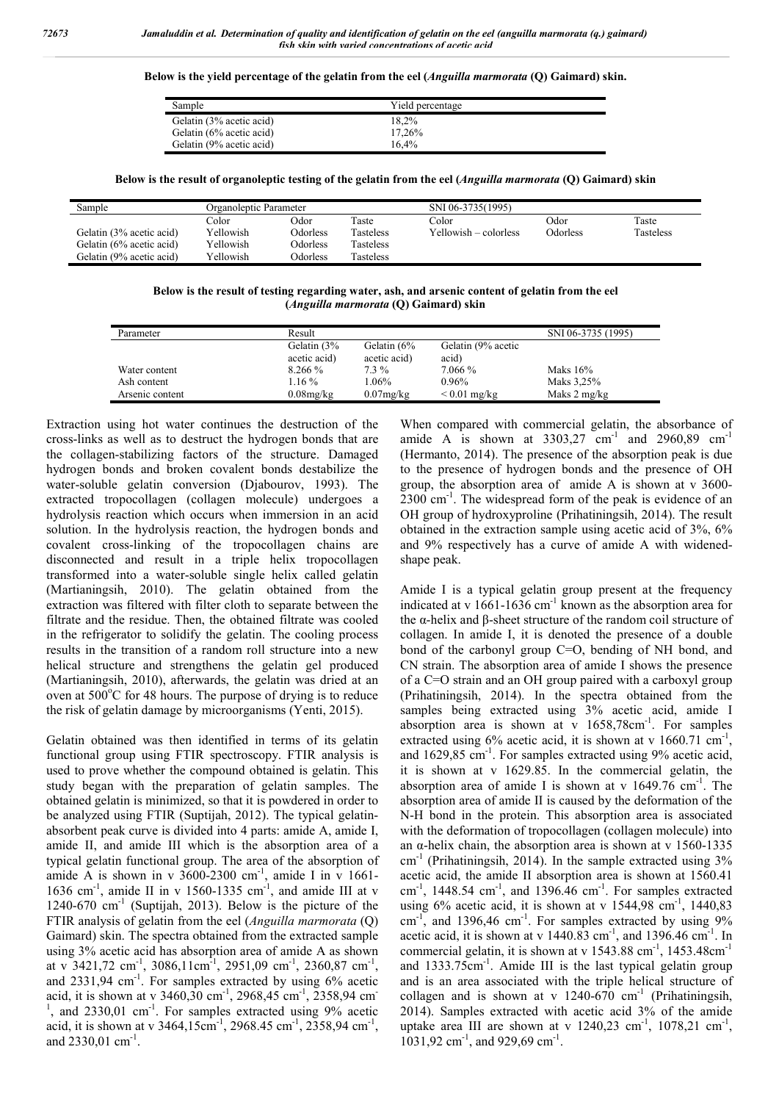**Below is the yield percentage of the gelatin from the eel (***Anguilla marmorata* **(Q) Gaimard) skin.**

| Sample                   | Yield percentage |
|--------------------------|------------------|
| Gelatin (3% acetic acid) | 18.2%            |
| Gelatin (6% acetic acid) | 17.26%           |
| Gelatin (9% acetic acid) | 16.4%            |

**Below is the result of organoleptic testing of the gelatin from the eel (***Anguilla marmorata* **(Q) Gaimard) skin**

| Sample                   | Organoleptic Parameter |          | SNI 06-3735(1995) |                       |                 |           |
|--------------------------|------------------------|----------|-------------------|-----------------------|-----------------|-----------|
|                          | Color                  | Odor     | Taste             | Color                 | Odor            | Taste     |
| Gelatin (3% acetic acid) | Yellowish              | Odorless | <b>Tasteless</b>  | Yellowish – colorless | <b>Odorless</b> | Tasteless |
| Gelatin (6% acetic acid) | Yellowish              | Odorless | Tasteless         |                       |                 |           |
| Gelatin (9% acetic acid) | Yellowish              | Odorless | Tasteless         |                       |                 |           |

**Below is the result of testing regarding water, ash, and arsenic content of gelatin from the eel (***Anguilla marmorata* **(Q) Gaimard) skin**

| Parameter       | Result        |              |                    | SNI 06-3735 (1995) |
|-----------------|---------------|--------------|--------------------|--------------------|
|                 | Gelatin $(3%$ | Gelatin (6%  | Gelatin (9% acetic |                    |
|                 | acetic acid)  | acetic acid) | acid)              |                    |
| Water content   | 8.266 %       | $7.3\%$      | 7.066 %            | Maks $16%$         |
| Ash content     | $1.16\%$      | $1.06\%$     | 0.96%              | Maks 3,25%         |
| Arsenic content | $0.08$ mg/kg  | $0.07$ mg/kg | $< 0.01$ mg/kg     | Maks 2 mg/kg       |

Extraction using hot water continues the destruction of the cross-links as well as to destruct the hydrogen bonds that are the collagen-stabilizing factors of the structure. Damaged hydrogen bonds and broken covalent bonds destabilize the water-soluble gelatin conversion (Djabourov, 1993). The extracted tropocollagen (collagen molecule) undergoes a hydrolysis reaction which occurs when immersion in an acid solution. In the hydrolysis reaction, the hydrogen bonds and covalent cross-linking of the tropocollagen chains are disconnected and result in a triple helix tropocollagen transformed into a water-soluble single helix called gelatin (Martianingsih, 2010). The gelatin obtained from the extraction was filtered with filter cloth to separate between the filtrate and the residue. Then, the obtained filtrate was cooled in the refrigerator to solidify the gelatin. The cooling process results in the transition of a random roll structure into a new helical structure and strengthens the gelatin gel produced (Martianingsih, 2010), afterwards, the gelatin was dried at an oven at  $500^{\circ}$ C for 48 hours. The purpose of drying is to reduce the risk of gelatin damage by microorganisms (Yenti, 2015).

Gelatin obtained was then identified in terms of its gelatin functional group using FTIR spectroscopy. FTIR analysis is used to prove whether the compound obtained is gelatin. This study began with the preparation of gelatin samples. The obtained gelatin is minimized, so that it is powdered in order to be analyzed using FTIR (Suptijah, 2012). The typical gelatinabsorbent peak curve is divided into 4 parts: amide A, amide I, amide II, and amide III which is the absorption area of a typical gelatin functional group. The area of the absorption of amide A is shown in v  $3600-2300$  cm<sup>-1</sup>, amide I in v 1661-1636 cm<sup>-1</sup>, amide II in v 1560-1335 cm<sup>-1</sup>, and amide III at v  $1240-670$  cm<sup>-1</sup> (Suptijah, 2013). Below is the picture of the FTIR analysis of gelatin from the eel (*Anguilla marmorata* (Q) Gaimard) skin. The spectra obtained from the extracted sample using 3% acetic acid has absorption area of amide A as shown at v 3421,72 cm<sup>-1</sup>, 3086,11cm<sup>-1</sup>, 2951,09 cm<sup>-1</sup>, 2360,87 cm<sup>-1</sup>, and  $2331,94$  cm<sup>-1</sup>. For samples extracted by using  $6\%$  acetic acid, it is shown at v  $3460,30$  cm<sup>-1</sup>,  $2968,45$  cm<sup>-1</sup>,  $2358,94$  cm<sup>-1</sup>  $1$ , and 2330,01 cm<sup>-1</sup>. For samples extracted using 9% acetic acid, it is shown at v  $3464, 15 \text{cm}^{-1}$ ,  $2968.45 \text{ cm}^{-1}$ ,  $2358.94 \text{ cm}^{-1}$ , and  $2330,01$  cm<sup>-1</sup>.

When compared with commercial gelatin, the absorbance of amide A is shown at  $3303,27$  cm<sup>-1</sup> and  $2960,89$  cm<sup>-1</sup> (Hermanto, 2014). The presence of the absorption peak is due to the presence of hydrogen bonds and the presence of OH group, the absorption area of amide A is shown at v 3600- 2300 cm<sup>-1</sup>. The widespread form of the peak is evidence of an OH group of hydroxyproline (Prihatiningsih, 2014). The result obtained in the extraction sample using acetic acid of 3%, 6% and 9% respectively has a curve of amide A with widenedshape peak.

Amide I is a typical gelatin group present at the frequency indicated at v  $1661-1636$  cm<sup>-1</sup> known as the absorption area for the α-helix and β-sheet structure of the random coil structure of collagen. In amide I, it is denoted the presence of a double bond of the carbonyl group C=O, bending of NH bond, and CN strain. The absorption area of amide I shows the presence of a C=O strain and an OH group paired with a carboxyl group (Prihatiningsih, 2014). In the spectra obtained from the samples being extracted using 3% acetic acid, amide I absorption area is shown at v 1658,78cm<sup>-1</sup>. For samples extracted using  $6\%$  acetic acid, it is shown at v  $1660.71$  cm<sup>-1</sup>, and 1629,85 cm<sup>-1</sup>. For samples extracted using 9% acetic acid, it is shown at v 1629.85. In the commercial gelatin, the absorption area of amide I is shown at v  $1649.76$  cm<sup>-1</sup>. The absorption area of amide II is caused by the deformation of the N-H bond in the protein. This absorption area is associated with the deformation of tropocollagen (collagen molecule) into an  $\alpha$ -helix chain, the absorption area is shown at v 1560-1335  $cm<sup>-1</sup>$  (Prihatiningsih, 2014). In the sample extracted using 3% acetic acid, the amide II absorption area is shown at 1560.41 cm<sup>-1</sup>, 1448.54 cm<sup>-1</sup>, and 1396.46 cm<sup>-1</sup>. For samples extracted using  $6\%$  acetic acid, it is shown at v  $1544,98$  cm<sup>-1</sup>,  $1440,83$  $\text{cm}^{-1}$ , and 1396,46  $\text{cm}^{-1}$ . For samples extracted by using 9% acetic acid, it is shown at v  $1440.83$  cm<sup>-1</sup>, and  $1396.46$  cm<sup>-1</sup>. In commercial gelatin, it is shown at v 1543.88 cm<sup>-1</sup>, 1453.48cm<sup>-1</sup> and 1333.75cm<sup>-1</sup>. Amide III is the last typical gelatin group and is an area associated with the triple helical structure of collagen and is shown at v  $1240-670$  cm<sup>-1</sup> (Prihatiningsih, 2014). Samples extracted with acetic acid 3% of the amide uptake area III are shown at v  $1240,23$  cm<sup>-1</sup>,  $1078,21$  cm<sup>-1</sup>, 1031,92 cm<sup>-1</sup>, and 929,69 cm<sup>-1</sup>.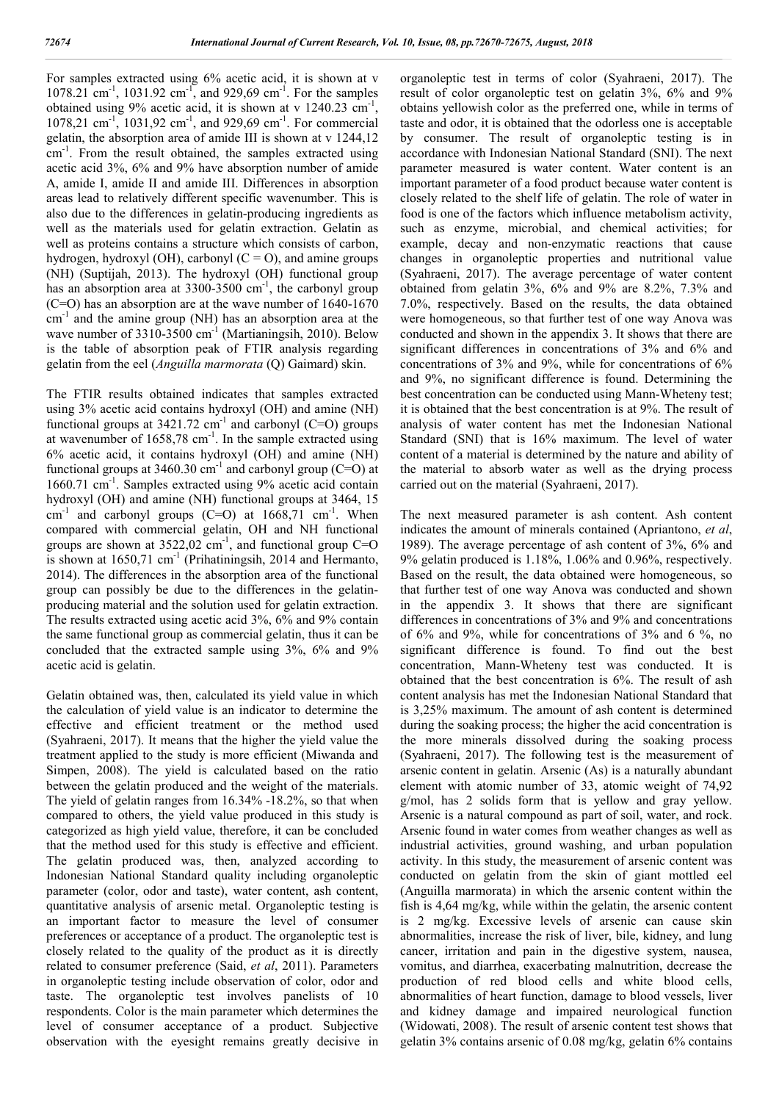For samples extracted using 6% acetic acid, it is shown at v 1078.21 cm<sup>-1</sup>, 1031.92 cm<sup>-1</sup>, and 929,69 cm<sup>-1</sup>. For the samples obtained using 9% acetic acid, it is shown at v  $1240.23$  cm<sup>-1</sup>, 1078,21 cm<sup>-1</sup>, 1031,92 cm<sup>-1</sup>, and 929,69 cm<sup>-1</sup>. For commercial gelatin, the absorption area of amide III is shown at v 1244,12 cm<sup>-1</sup>. From the result obtained, the samples extracted using acetic acid 3%, 6% and 9% have absorption number of amide A, amide I, amide II and amide III. Differences in absorption areas lead to relatively different specific wavenumber. This is also due to the differences in gelatin-producing ingredients as well as the materials used for gelatin extraction. Gelatin as well as proteins contains a structure which consists of carbon, hydrogen, hydroxyl (OH), carbonyl  $(C = O)$ , and amine groups (NH) (Suptijah, 2013). The hydroxyl (OH) functional group has an absorption area at  $3300-3500$  cm<sup>-1</sup>, the carbonyl group (C=O) has an absorption are at the wave number of 1640-1670  $cm^{-1}$  and the amine group (NH) has an absorption area at the wave number of  $3310-3500$  cm<sup>-1</sup> (Martianingsih, 2010). Below is the table of absorption peak of FTIR analysis regarding gelatin from the eel (*Anguilla marmorata* (Q) Gaimard) skin.

The FTIR results obtained indicates that samples extracted using 3% acetic acid contains hydroxyl (OH) and amine (NH) functional groups at  $3421.72 \text{ cm}^{-1}$  and carbonyl (C=O) groups at wavenumber of  $1658,78$  cm<sup>-1</sup>. In the sample extracted using 6% acetic acid, it contains hydroxyl (OH) and amine (NH) functional groups at 3460.30 cm<sup>-1</sup> and carbonyl group (C=O) at 1660.71 cm-1 . Samples extracted using 9% acetic acid contain hydroxyl (OH) and amine (NH) functional groups at 3464, 15  $\text{cm}^{-1}$  and carbonyl groups (C=O) at  $1668,71$  cm<sup>-1</sup>. When compared with commercial gelatin, OH and NH functional groups are shown at  $3522,02$  cm<sup>-1</sup>, and functional group C=O is shown at  $1650,71$  cm<sup>-1</sup> (Prihatiningsih, 2014 and Hermanto, 2014). The differences in the absorption area of the functional group can possibly be due to the differences in the gelatinproducing material and the solution used for gelatin extraction. The results extracted using acetic acid 3%, 6% and 9% contain the same functional group as commercial gelatin, thus it can be concluded that the extracted sample using 3%, 6% and 9% acetic acid is gelatin.

Gelatin obtained was, then, calculated its yield value in which the calculation of yield value is an indicator to determine the effective and efficient treatment or the method used (Syahraeni, 2017). It means that the higher the yield value the treatment applied to the study is more efficient (Miwanda and Simpen, 2008). The yield is calculated based on the ratio between the gelatin produced and the weight of the materials. The yield of gelatin ranges from 16.34% -18.2%, so that when compared to others, the yield value produced in this study is categorized as high yield value, therefore, it can be concluded that the method used for this study is effective and efficient. The gelatin produced was, then, analyzed according to Indonesian National Standard quality including organoleptic parameter (color, odor and taste), water content, ash content, quantitative analysis of arsenic metal. Organoleptic testing is an important factor to measure the level of consumer preferences or acceptance of a product. The organoleptic test is closely related to the quality of the product as it is directly related to consumer preference (Said, *et al*, 2011). Parameters in organoleptic testing include observation of color, odor and taste. The organoleptic test involves panelists of 10 respondents. Color is the main parameter which determines the level of consumer acceptance of a product. Subjective observation with the eyesight remains greatly decisive in

organoleptic test in terms of color (Syahraeni, 2017). The result of color organoleptic test on gelatin 3%, 6% and 9% obtains yellowish color as the preferred one, while in terms of taste and odor, it is obtained that the odorless one is acceptable by consumer. The result of organoleptic testing is in accordance with Indonesian National Standard (SNI). The next parameter measured is water content. Water content is an important parameter of a food product because water content is closely related to the shelf life of gelatin. The role of water in food is one of the factors which influence metabolism activity, such as enzyme, microbial, and chemical activities; for example, decay and non-enzymatic reactions that cause changes in organoleptic properties and nutritional value (Syahraeni, 2017). The average percentage of water content obtained from gelatin 3%, 6% and 9% are 8.2%, 7.3% and 7.0%, respectively. Based on the results, the data obtained were homogeneous, so that further test of one way Anova was conducted and shown in the appendix 3. It shows that there are significant differences in concentrations of 3% and 6% and concentrations of 3% and 9%, while for concentrations of 6% and 9%, no significant difference is found. Determining the best concentration can be conducted using Mann-Wheteny test; it is obtained that the best concentration is at 9%. The result of analysis of water content has met the Indonesian National Standard (SNI) that is 16% maximum. The level of water content of a material is determined by the nature and ability of the material to absorb water as well as the drying process carried out on the material (Syahraeni, 2017).

The next measured parameter is ash content. Ash content indicates the amount of minerals contained (Apriantono, *et al*, 1989). The average percentage of ash content of 3%, 6% and 9% gelatin produced is 1.18%, 1.06% and 0.96%, respectively. Based on the result, the data obtained were homogeneous, so that further test of one way Anova was conducted and shown in the appendix 3. It shows that there are significant differences in concentrations of 3% and 9% and concentrations of 6% and 9%, while for concentrations of 3% and 6 %, no significant difference is found. To find out the best concentration, Mann-Wheteny test was conducted. It is obtained that the best concentration is 6%. The result of ash content analysis has met the Indonesian National Standard that is 3,25% maximum. The amount of ash content is determined during the soaking process; the higher the acid concentration is the more minerals dissolved during the soaking process (Syahraeni, 2017). The following test is the measurement of arsenic content in gelatin. Arsenic (As) is a naturally abundant element with atomic number of 33, atomic weight of 74,92 g/mol, has 2 solids form that is yellow and gray yellow. Arsenic is a natural compound as part of soil, water, and rock. Arsenic found in water comes from weather changes as well as industrial activities, ground washing, and urban population activity. In this study, the measurement of arsenic content was conducted on gelatin from the skin of giant mottled eel (Anguilla marmorata) in which the arsenic content within the fish is 4,64 mg/kg, while within the gelatin, the arsenic content is 2 mg/kg. Excessive levels of arsenic can cause skin abnormalities, increase the risk of liver, bile, kidney, and lung cancer, irritation and pain in the digestive system, nausea, vomitus, and diarrhea, exacerbating malnutrition, decrease the production of red blood cells and white blood cells, abnormalities of heart function, damage to blood vessels, liver and kidney damage and impaired neurological function (Widowati, 2008). The result of arsenic content test shows that gelatin 3% contains arsenic of 0.08 mg/kg, gelatin 6% contains